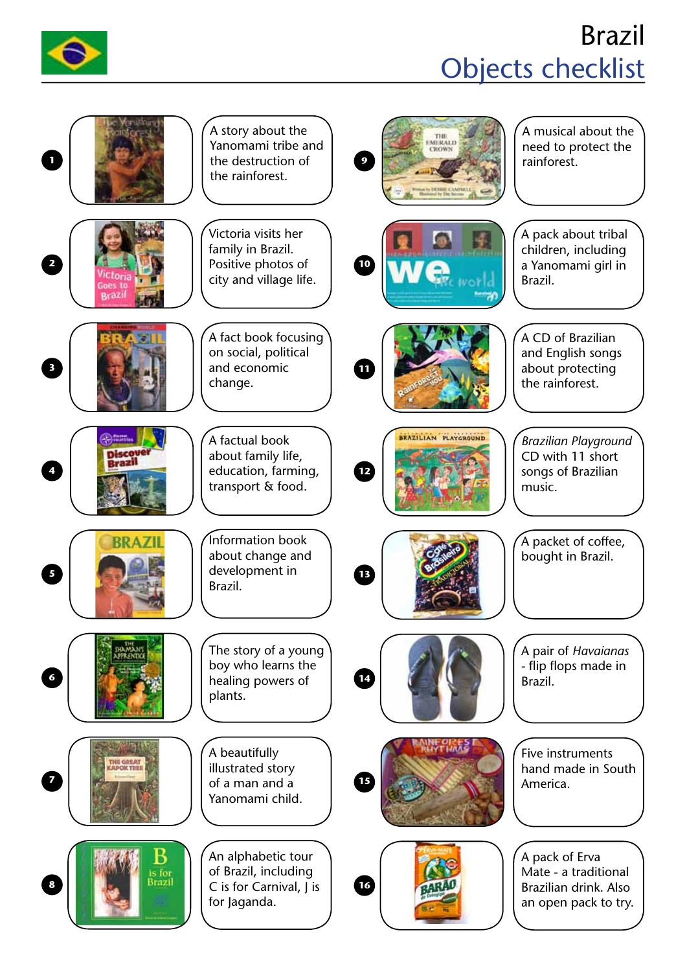

## Brazil Objects checklist